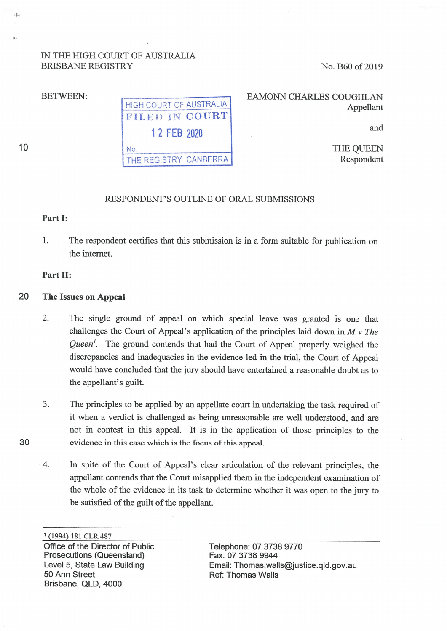# IN THE HIGH COURT OF AUSTRALIA BRISBANE REGISTRY

No. B60 of 2019

BETWEEN:

**.J,** 

 $, c$ 

10

30

HIGH COURT OF AUSTRALIA  $\mathbf{FILED}$  in  $\mathbf{COURI}^*$ 1 2 FEB 2020 No. THE REG1S7RY CANBERRA

EAMONN CHARLES COUGHLAN Appellant

and

THE QUEEN Respondent

## RESPONDENT'S OUTLINE OF ORAL SUBMISSIONS

#### **Part** I:

1. The respondent certifies that this submission is in a form suitable for publication on the internet.

### **Part** II:

- 20 **The Issues on Appeal** 
	- 2. The single ground of appeal on which special leave was granted is one that challenges the Court of Appeal's application of the principles laid down in *M v The Queen<sup>1</sup> .* The ground contends that had the Court of Appeal properly weighed the discrepancies and inadequacies in the evidence led in the trial, the Court of Appeal would have concluded that the jury should have entertained a reasonable doubt as to the appellant's guilt.
	- 3. The principles to be applied by an appellate court in undertaking the task required of it when a verdict is challenged as being unreasonable are well understood, and are not in contest in this appeal. It is in the application of those principles to the evidence in this case which is the focus of this appeal.
	- 4. In spite of the Court of Appeal's clear articulation of the relevant principles, the appellant contends that the Court misapplied them in the independent examination of the whole of the evidence in its task to determine whether it was open to the jury to be satisfied of the guilt of the appellant.

<sup>1</sup>(1994) **181** CLR487 Office of the Director of Public Prosecutions (Queensland) Level 5, State Law Building 50 Ann Street Brisbane, QLD, 4000

Telephone: 07 3738 9770 Fax: 07 3738 9944 Email: Thomas.walls@justice.qld.gov.au Ref: Thomas Walls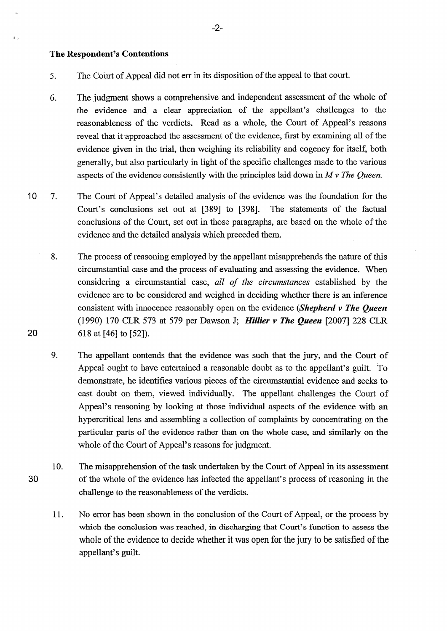#### **The Respondent's Contentions**

- 6. The judgment shows a comprehensive and independent assessment of the whole of the evidence and. a clear appreciation of the appellant's challenges to the reasonableness of the verdicts. Read as a whole, the Court of Appeal's reasons reveal that it approached the assessment of the evidence, first by examining all of the evidence given in the trial, then weighing its reliability and cogency for itself, both generally, but also particularly in light of the specific challenges made to the various aspects of the evidence consistently with the principles laid down in *M* v *The Queen.*
- 10 7. The Court of Appeal's detailed analysis of the evidence was the foundation for the Court's conclusions set out at [389] to [398]. The statements of the factual conclusions of the Court, set out in those paragraphs, are based on the whole of the evidence and the detailed analysis which preceded them.
	- 8. The process of reasoning employed by the appellant misapprehends the nature of this circumstantial case and the process of evaluating and assessing the evidence. When considering a circumstantial case, *all of the circumstances* established by the evidence are to be considered and weighed in deciding whether there is an inference consistent with innocence reasonably open on the evidence *(Shepherd v The Queen*  (1990) 170 CLR 573 at 579 per Dawson J; *Hillier v The Queen* [2007] 228 CLR 618 at [46] to [52]).
	- 9. The appellant contends that the evidence was such that the jury, and the Court of Appeal ought to have entertained a reasonable doubt as to the appellant's guilt. To demonstrate, he identifies various pieces of the circumstantial evidence and seeks to cast doubt on them, viewed individually. The appellant challenges the Court of Appeal's reasoning by looking at those individual aspects of the evidence with an hypercritical lens and assembling a collection of complaints by concentrating on the particular parts of the evidence rather than on the whole case, and similarly on the whole of the Court of Appeal's reasons for judgment.
	- 10. The misapprehension of the task undertaken by the Court of Appeal in its assessment of the whole of the evidence has infected the appellant's process of reasoning in the challenge to the reasonableness of the verdicts.
		- 11. No error has been shown in the conclusion of the Court of Appeal, or the process by which the conclusion was reached, in discharging that Court's function to assess the whole of the evidence to decide whether it was open for the jury to be satisfied of the appellant's guilt.

20

30